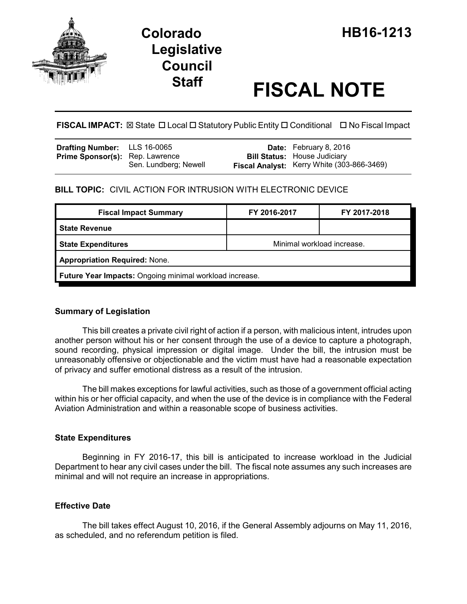

# **Staff FISCAL NOTE**

**FISCAL IMPACT:** ⊠ State □ Local □ Statutory Public Entity □ Conditional □ No Fiscal Impact

| Drafting Number: LLS 16-0065           |                       | <b>Date:</b> February 8, 2016                                                     |
|----------------------------------------|-----------------------|-----------------------------------------------------------------------------------|
| <b>Prime Sponsor(s):</b> Rep. Lawrence | Sen. Lundberg; Newell | <b>Bill Status:</b> House Judiciary<br>Fiscal Analyst: Kerry White (303-866-3469) |

### **BILL TOPIC:** CIVIL ACTION FOR INTRUSION WITH ELECTRONIC DEVICE

| <b>Fiscal Impact Summary</b>                            | FY 2016-2017               | FY 2017-2018 |  |  |  |
|---------------------------------------------------------|----------------------------|--------------|--|--|--|
| <b>State Revenue</b>                                    |                            |              |  |  |  |
| <b>State Expenditures</b>                               | Minimal workload increase. |              |  |  |  |
| <b>Appropriation Required: None.</b>                    |                            |              |  |  |  |
| Future Year Impacts: Ongoing minimal workload increase. |                            |              |  |  |  |

#### **Summary of Legislation**

This bill creates a private civil right of action if a person, with malicious intent, intrudes upon another person without his or her consent through the use of a device to capture a photograph, sound recording, physical impression or digital image. Under the bill, the intrusion must be unreasonably offensive or objectionable and the victim must have had a reasonable expectation of privacy and suffer emotional distress as a result of the intrusion.

The bill makes exceptions for lawful activities, such as those of a government official acting within his or her official capacity, and when the use of the device is in compliance with the Federal Aviation Administration and within a reasonable scope of business activities.

#### **State Expenditures**

Beginning in FY 2016-17, this bill is anticipated to increase workload in the Judicial Department to hear any civil cases under the bill. The fiscal note assumes any such increases are minimal and will not require an increase in appropriations.

#### **Effective Date**

The bill takes effect August 10, 2016, if the General Assembly adjourns on May 11, 2016, as scheduled, and no referendum petition is filed.